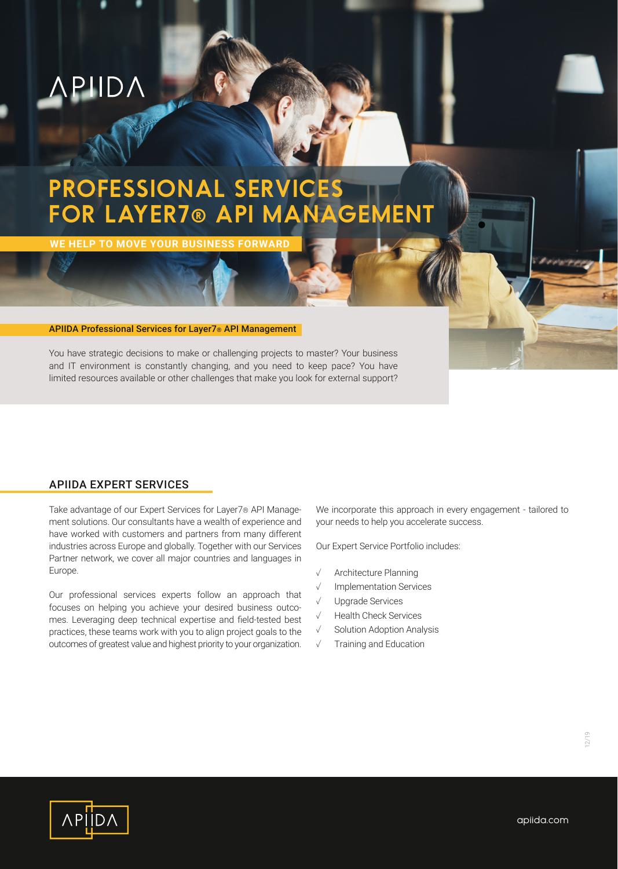

# **PROFESSIONAL SERVICES FOR LAYER7® API MANAGEMENT**

**WE HELP TO MOVE YOUR BUSINESS FORWAR** 

#### APIIDA Professional Services for Layer7® API Management

You have strategic decisions to make or challenging projects to master? Your business and IT environment is constantly changing, and you need to keep pace? You have limited resources available or other challenges that make you look for external support?

### APIIDA EXPERT SERVICES

Take advantage of our Expert Services for Layer7® API Management solutions. Our consultants have a wealth of experience and have worked with customers and partners from many different industries across Europe and globally. Together with our Services Partner network, we cover all major countries and languages in Europe.

Our professional services experts follow an approach that focuses on helping you achieve your desired business outcomes. Leveraging deep technical expertise and field-tested best practices, these teams work with you to align project goals to the outcomes of greatest value and highest priority to your organization. We incorporate this approach in every engagement - tailored to your needs to help you accelerate success.

Our Expert Service Portfolio includes:

- ✓ Architecture Planning
- ✓ Implementation Services
- ✓ Upgrade Services
- ✓ Health Check Services
- ✓ Solution Adoption Analysis
- ✓ Training and Education